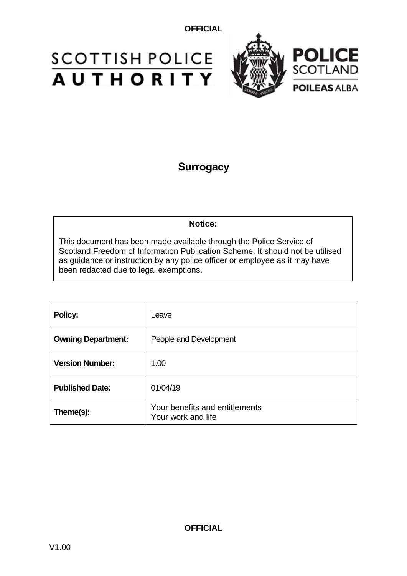# **SCOTTISH POLICE** AUTHORITY



## **Surrogacy**

#### **Notice:**

This document has been made available through the Police Service of Scotland Freedom of Information Publication Scheme. It should not be utilised as guidance or instruction by any police officer or employee as it may have been redacted due to legal exemptions.

| Policy:                   | Leave                                                |
|---------------------------|------------------------------------------------------|
| <b>Owning Department:</b> | People and Development                               |
| <b>Version Number:</b>    | 1.00                                                 |
| <b>Published Date:</b>    | 01/04/19                                             |
| Theme(s):                 | Your benefits and entitlements<br>Your work and life |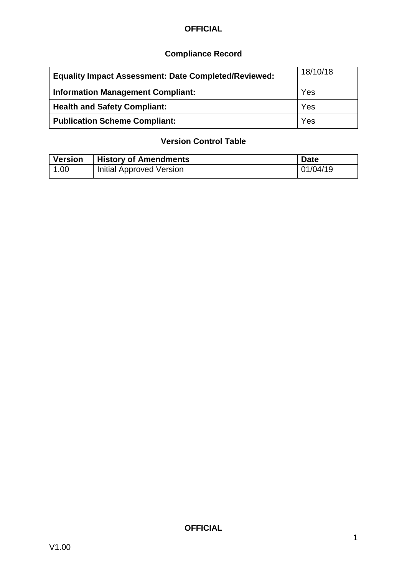### **Compliance Record**

| <b>Equality Impact Assessment: Date Completed/Reviewed:</b> | 18/10/18 |
|-------------------------------------------------------------|----------|
| <b>Information Management Compliant:</b>                    | Yes      |
| <b>Health and Safety Compliant:</b>                         | Yes      |
| <b>Publication Scheme Compliant:</b>                        | Yes      |

### **Version Control Table**

| <b>Version</b> | <b>History of Amendments</b>    | <b>Date</b> |
|----------------|---------------------------------|-------------|
| 1.00           | <b>Initial Approved Version</b> | 01/04/19    |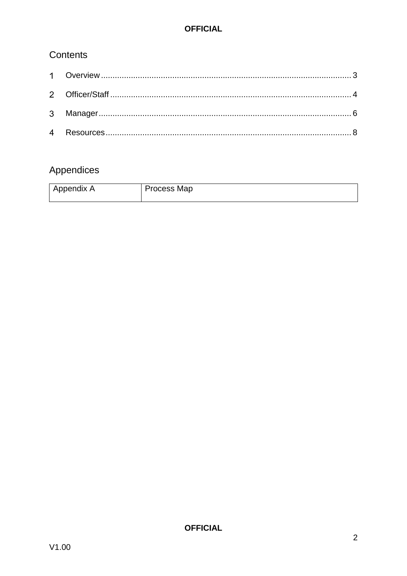### Contents

# Appendices

| Appendix A | Process Map |
|------------|-------------|
|------------|-------------|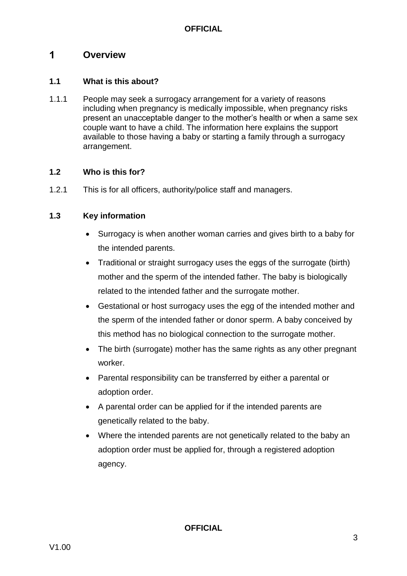#### <span id="page-3-0"></span> $\mathbf 1$ **Overview**

#### **1.1 What is this about?**

1.1.1 People may seek a surrogacy arrangement for a variety of reasons including when pregnancy is medically impossible, when pregnancy risks present an unacceptable danger to the mother's health or when a same sex couple want to have a child. The information here explains the support available to those having a baby or starting a family through a surrogacy arrangement.

#### **1.2 Who is this for?**

1.2.1 This is for all officers, authority/police staff and managers.

#### **1.3 Key information**

- Surrogacy is when another woman carries and gives birth to a baby for the intended parents.
- Traditional or straight surrogacy uses the eggs of the surrogate (birth) mother and the sperm of the intended father. The baby is biologically related to the intended father and the surrogate mother.
- Gestational or host surrogacy uses the egg of the intended mother and the sperm of the intended father or donor sperm. A baby conceived by this method has no biological connection to the surrogate mother.
- The birth (surrogate) mother has the same rights as any other pregnant worker.
- Parental responsibility can be transferred by either a parental or adoption order.
- A parental order can be applied for if the intended parents are genetically related to the baby.
- Where the intended parents are not genetically related to the baby an adoption order must be applied for, through a registered adoption agency.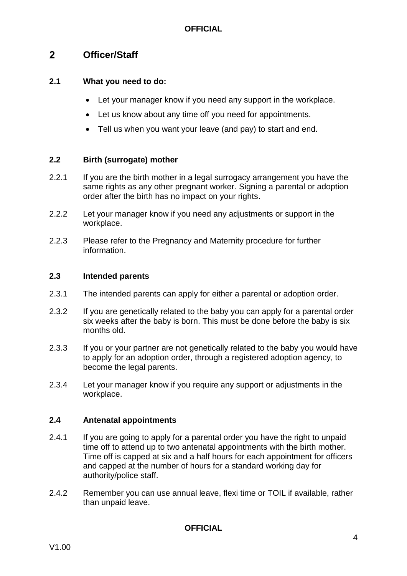#### <span id="page-4-0"></span> $\overline{2}$ **Officer/Staff**

#### **2.1 What you need to do:**

- Let your manager know if you need any support in the workplace.
- Let us know about any time off you need for appointments.
- Tell us when you want your leave (and pay) to start and end.

#### **2.2 Birth (surrogate) mother**

- 2.2.1 If you are the birth mother in a legal surrogacy arrangement you have the same rights as any other pregnant worker. Signing a parental or adoption order after the birth has no impact on your rights.
- 2.2.2 Let your manager know if you need any adjustments or support in the workplace.
- 2.2.3 Please refer to the Pregnancy and Maternity procedure for further information.

#### **2.3 Intended parents**

- 2.3.1 The intended parents can apply for either a parental or adoption order.
- 2.3.2 If you are genetically related to the baby you can apply for a parental order six weeks after the baby is born. This must be done before the baby is six months old.
- 2.3.3 If you or your partner are not genetically related to the baby you would have to apply for an adoption order, through a registered adoption agency, to become the legal parents.
- 2.3.4 Let your manager know if you require any support or adjustments in the workplace.

#### **2.4 Antenatal appointments**

- 2.4.1 If you are going to apply for a parental order you have the right to unpaid time off to attend up to two antenatal appointments with the birth mother. Time off is capped at six and a half hours for each appointment for officers and capped at the number of hours for a standard working day for authority/police staff.
- 2.4.2 Remember you can use annual leave, flexi time or TOIL if available, rather than unpaid leave.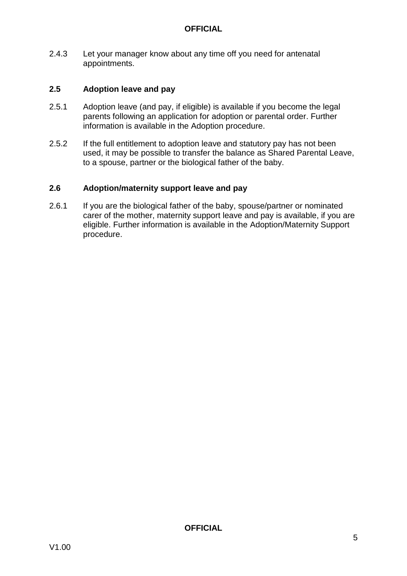2.4.3 Let your manager know about any time off you need for antenatal appointments.

#### **2.5 Adoption leave and pay**

- 2.5.1 Adoption leave (and pay, if eligible) is available if you become the legal parents following an application for adoption or parental order. Further information is available in the Adoption procedure.
- 2.5.2 If the full entitlement to adoption leave and statutory pay has not been used, it may be possible to transfer the balance as Shared Parental Leave, to a spouse, partner or the biological father of the baby.

#### **2.6 Adoption/maternity support leave and pay**

2.6.1 If you are the biological father of the baby, spouse/partner or nominated carer of the mother, maternity support leave and pay is available, if you are eligible. Further information is available in the Adoption/Maternity Support procedure.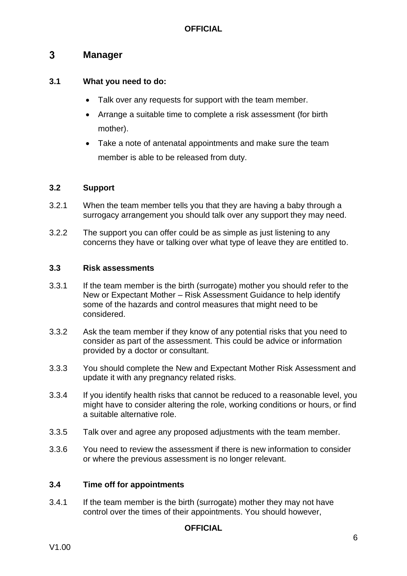#### <span id="page-6-0"></span> $3<sup>1</sup>$ **Manager**

#### **3.1 What you need to do:**

- Talk over any requests for support with the team member.
- Arrange a suitable time to complete a risk assessment (for birth mother).
- Take a note of antenatal appointments and make sure the team member is able to be released from duty.

#### **3.2 Support**

- 3.2.1 When the team member tells you that they are having a baby through a surrogacy arrangement you should talk over any support they may need.
- 3.2.2 The support you can offer could be as simple as just listening to any concerns they have or talking over what type of leave they are entitled to.

#### **3.3 Risk assessments**

- 3.3.1 If the team member is the birth (surrogate) mother you should refer to the New or Expectant Mother – Risk Assessment Guidance to help identify some of the hazards and control measures that might need to be considered.
- 3.3.2 Ask the team member if they know of any potential risks that you need to consider as part of the assessment. This could be advice or information provided by a doctor or consultant.
- 3.3.3 You should complete the New and Expectant Mother Risk Assessment and update it with any pregnancy related risks.
- 3.3.4 If you identify health risks that cannot be reduced to a reasonable level, you might have to consider altering the role, working conditions or hours, or find a suitable alternative role.
- 3.3.5 Talk over and agree any proposed adjustments with the team member.
- 3.3.6 You need to review the assessment if there is new information to consider or where the previous assessment is no longer relevant.

#### **3.4 Time off for appointments**

3.4.1 If the team member is the birth (surrogate) mother they may not have control over the times of their appointments. You should however,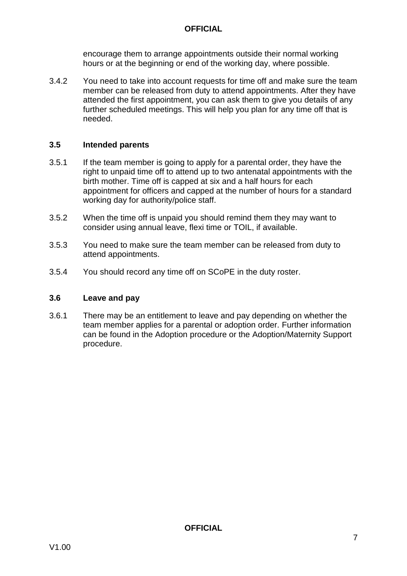encourage them to arrange appointments outside their normal working hours or at the beginning or end of the working day, where possible.

3.4.2 You need to take into account requests for time off and make sure the team member can be released from duty to attend appointments. After they have attended the first appointment, you can ask them to give you details of any further scheduled meetings. This will help you plan for any time off that is needed.

#### **3.5 Intended parents**

- 3.5.1 If the team member is going to apply for a parental order, they have the right to unpaid time off to attend up to two antenatal appointments with the birth mother. Time off is capped at six and a half hours for each appointment for officers and capped at the number of hours for a standard working day for authority/police staff.
- 3.5.2 When the time off is unpaid you should remind them they may want to consider using annual leave, flexi time or TOIL, if available.
- 3.5.3 You need to make sure the team member can be released from duty to attend appointments.
- 3.5.4 You should record any time off on SCoPE in the duty roster.

#### **3.6 Leave and pay**

3.6.1 There may be an entitlement to leave and pay depending on whether the team member applies for a parental or adoption order. Further information can be found in the Adoption procedure or the Adoption/Maternity Support procedure.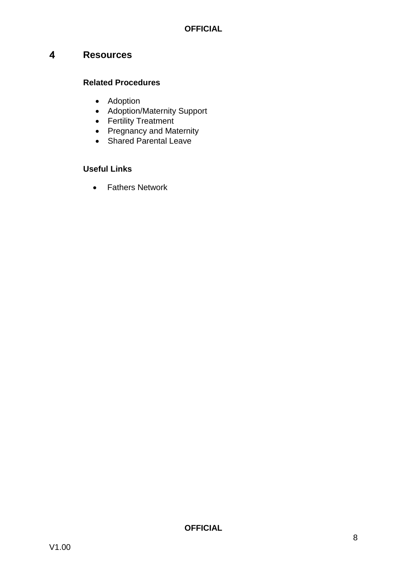#### <span id="page-8-0"></span> $\overline{4}$ **Resources**

#### **Related Procedures**

- Adoption
- Adoption/Maternity Support
- Fertility Treatment
- Pregnancy and Maternity
- Shared Parental Leave

#### **Useful Links**

• Fathers Network